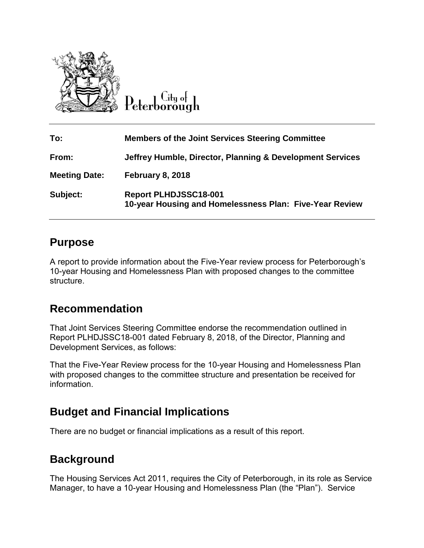

Litu o<del>l</del>

| To:                  | <b>Members of the Joint Services Steering Committee</b>                          |
|----------------------|----------------------------------------------------------------------------------|
| From:                | Jeffrey Humble, Director, Planning & Development Services                        |
| <b>Meeting Date:</b> | <b>February 8, 2018</b>                                                          |
| Subject:             | Report PLHDJSSC18-001<br>10-year Housing and Homelessness Plan: Five-Year Review |

# **Purpose**

A report to provide information about the Five-Year review process for Peterborough's 10-year Housing and Homelessness Plan with proposed changes to the committee structure.

# **Recommendation**

That Joint Services Steering Committee endorse the recommendation outlined in Report PLHDJSSC18-001 dated February 8, 2018, of the Director, Planning and Development Services, as follows:

That the Five-Year Review process for the 10-year Housing and Homelessness Plan with proposed changes to the committee structure and presentation be received for information.

# **Budget and Financial Implications**

There are no budget or financial implications as a result of this report.

# **Background**

The Housing Services Act 2011, requires the City of Peterborough, in its role as Service Manager, to have a 10-year Housing and Homelessness Plan (the "Plan"). Service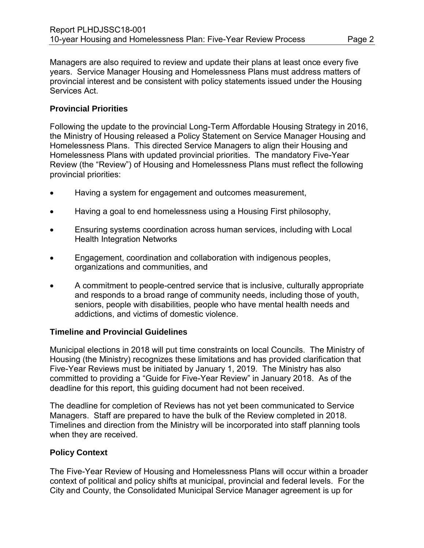Managers are also required to review and update their plans at least once every five years. Service Manager Housing and Homelessness Plans must address matters of provincial interest and be consistent with policy statements issued under the Housing Services Act.

### **Provincial Priorities**

Following the update to the provincial Long-Term Affordable Housing Strategy in 2016, the Ministry of Housing released a Policy Statement on Service Manager Housing and Homelessness Plans. This directed Service Managers to align their Housing and Homelessness Plans with updated provincial priorities. The mandatory Five-Year Review (the "Review") of Housing and Homelessness Plans must reflect the following provincial priorities:

- Having a system for engagement and outcomes measurement,
- Having a goal to end homelessness using a Housing First philosophy,
- Ensuring systems coordination across human services, including with Local Health Integration Networks
- Engagement, coordination and collaboration with indigenous peoples, organizations and communities, and
- A commitment to people-centred service that is inclusive, culturally appropriate and responds to a broad range of community needs, including those of youth, seniors, people with disabilities, people who have mental health needs and addictions, and victims of domestic violence.

### **Timeline and Provincial Guidelines**

Municipal elections in 2018 will put time constraints on local Councils. The Ministry of Housing (the Ministry) recognizes these limitations and has provided clarification that Five-Year Reviews must be initiated by January 1, 2019. The Ministry has also committed to providing a "Guide for Five-Year Review" in January 2018. As of the deadline for this report, this guiding document had not been received.

The deadline for completion of Reviews has not yet been communicated to Service Managers. Staff are prepared to have the bulk of the Review completed in 2018. Timelines and direction from the Ministry will be incorporated into staff planning tools when they are received.

## **Policy Context**

The Five-Year Review of Housing and Homelessness Plans will occur within a broader context of political and policy shifts at municipal, provincial and federal levels. For the City and County, the Consolidated Municipal Service Manager agreement is up for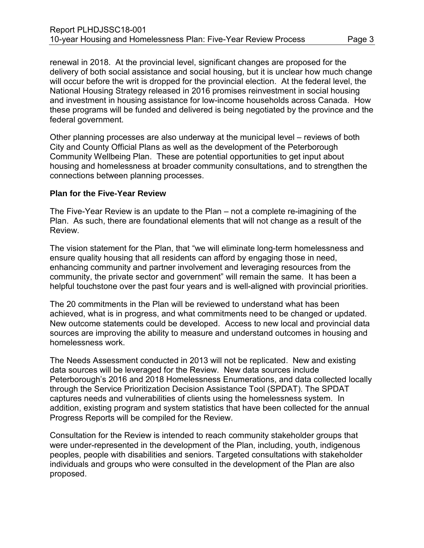renewal in 2018. At the provincial level, significant changes are proposed for the delivery of both social assistance and social housing, but it is unclear how much change will occur before the writ is dropped for the provincial election. At the federal level, the National Housing Strategy released in 2016 promises reinvestment in social housing and investment in housing assistance for low-income households across Canada. How these programs will be funded and delivered is being negotiated by the province and the federal government.

Other planning processes are also underway at the municipal level – reviews of both City and County Official Plans as well as the development of the Peterborough Community Wellbeing Plan. These are potential opportunities to get input about housing and homelessness at broader community consultations, and to strengthen the connections between planning processes.

### **Plan for the Five-Year Review**

The Five-Year Review is an update to the Plan – not a complete re-imagining of the Plan. As such, there are foundational elements that will not change as a result of the Review.

The vision statement for the Plan, that "we will eliminate long-term homelessness and ensure quality housing that all residents can afford by engaging those in need, enhancing community and partner involvement and leveraging resources from the community, the private sector and government" will remain the same. It has been a helpful touchstone over the past four years and is well-aligned with provincial priorities.

The 20 commitments in the Plan will be reviewed to understand what has been achieved, what is in progress, and what commitments need to be changed or updated. New outcome statements could be developed. Access to new local and provincial data sources are improving the ability to measure and understand outcomes in housing and homelessness work.

The Needs Assessment conducted in 2013 will not be replicated. New and existing data sources will be leveraged for the Review. New data sources include Peterborough's 2016 and 2018 Homelessness Enumerations, and data collected locally through the Service Prioritization Decision Assistance Tool (SPDAT). The SPDAT captures needs and vulnerabilities of clients using the homelessness system. In addition, existing program and system statistics that have been collected for the annual Progress Reports will be compiled for the Review.

Consultation for the Review is intended to reach community stakeholder groups that were under-represented in the development of the Plan, including, youth, indigenous peoples, people with disabilities and seniors. Targeted consultations with stakeholder individuals and groups who were consulted in the development of the Plan are also proposed.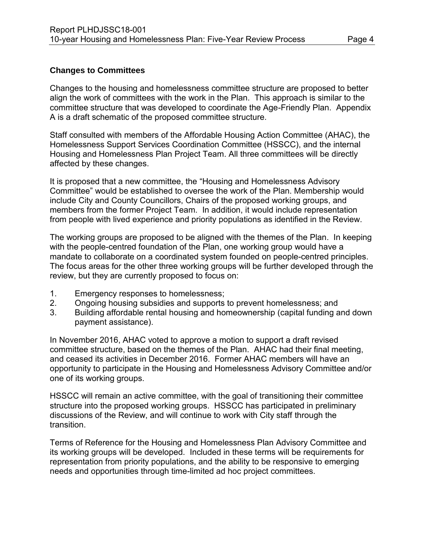### **Changes to Committees**

Changes to the housing and homelessness committee structure are proposed to better align the work of committees with the work in the Plan. This approach is similar to the committee structure that was developed to coordinate the Age-Friendly Plan. Appendix A is a draft schematic of the proposed committee structure.

Staff consulted with members of the Affordable Housing Action Committee (AHAC), the Homelessness Support Services Coordination Committee (HSSCC), and the internal Housing and Homelessness Plan Project Team. All three committees will be directly affected by these changes.

It is proposed that a new committee, the "Housing and Homelessness Advisory Committee" would be established to oversee the work of the Plan. Membership would include City and County Councillors, Chairs of the proposed working groups, and members from the former Project Team. In addition, it would include representation from people with lived experience and priority populations as identified in the Review.

The working groups are proposed to be aligned with the themes of the Plan. In keeping with the people-centred foundation of the Plan, one working group would have a mandate to collaborate on a coordinated system founded on people-centred principles. The focus areas for the other three working groups will be further developed through the review, but they are currently proposed to focus on:

- 1. Emergency responses to homelessness;
- 2. Ongoing housing subsidies and supports to prevent homelessness; and
- 3. Building affordable rental housing and homeownership (capital funding and down payment assistance).

In November 2016, AHAC voted to approve a motion to support a draft revised committee structure, based on the themes of the Plan. AHAC had their final meeting, and ceased its activities in December 2016. Former AHAC members will have an opportunity to participate in the Housing and Homelessness Advisory Committee and/or one of its working groups.

HSSCC will remain an active committee, with the goal of transitioning their committee structure into the proposed working groups. HSSCC has participated in preliminary discussions of the Review, and will continue to work with City staff through the transition.

Terms of Reference for the Housing and Homelessness Plan Advisory Committee and its working groups will be developed. Included in these terms will be requirements for representation from priority populations, and the ability to be responsive to emerging needs and opportunities through time-limited ad hoc project committees.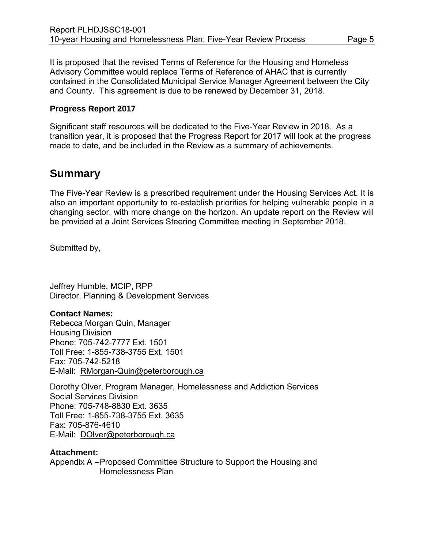It is proposed that the revised Terms of Reference for the Housing and Homeless Advisory Committee would replace Terms of Reference of AHAC that is currently contained in the Consolidated Municipal Service Manager Agreement between the City and County. This agreement is due to be renewed by December 31, 2018.

### **Progress Report 2017**

Significant staff resources will be dedicated to the Five-Year Review in 2018. As a transition year, it is proposed that the Progress Report for 2017 will look at the progress made to date, and be included in the Review as a summary of achievements.

# **Summary**

The Five-Year Review is a prescribed requirement under the Housing Services Act. It is also an important opportunity to re-establish priorities for helping vulnerable people in a changing sector, with more change on the horizon. An update report on the Review will be provided at a Joint Services Steering Committee meeting in September 2018.

Submitted by,

Jeffrey Humble, MCIP, RPP Director, Planning & Development Services

### **Contact Names:**

Rebecca Morgan Quin, Manager Housing Division Phone: 705-742-7777 Ext. 1501 Toll Free: 1-855-738-3755 Ext. 1501 Fax: 705-742-5218 E-Mail: [RMorgan-Quin@peterborough.ca](mailto:RMorgan-Quin@peterborough.ca)

Dorothy Olver, Program Manager, Homelessness and Addiction Services Social Services Division Phone: 705-748-8830 Ext. 3635 Toll Free: 1-855-738-3755 Ext. 3635 Fax: 705-876-4610 E-Mail: [DOlver@peterborough.ca](mailto:DOlver@peterborough.ca)

### **Attachment:**

Appendix A –Proposed Committee Structure to Support the Housing and Homelessness Plan